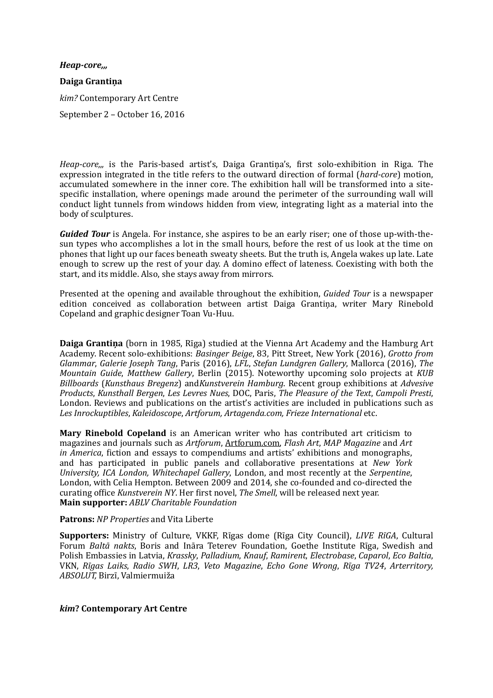*Heap-core,,,* **Daiga Grantiņa** *kim?* Contemporary Art Centre September 2 – October 16, 2016

*Heap-core<sub>m</sub>* is the Paris-based artist's, Daiga Grantina's, first solo-exhibition in Riga. The expression integrated in the title refers to the outward direction of formal (*hard-core*) motion, accumulated somewhere in the inner core. The exhibition hall will be transformed into a sitespecific installation, where openings made around the perimeter of the surrounding wall will conduct light tunnels from windows hidden from view, integrating light as a material into the body of sculptures.

*Guided Tour* is Angela. For instance, she aspires to be an early riser; one of those up-with-thesun types who accomplishes a lot in the small hours, before the rest of us look at the time on phones that light up our faces beneath sweaty sheets. But the truth is, Angela wakes up late. Late enough to screw up the rest of your day. A domino effect of lateness. Coexisting with both the start, and its middle. Also, she stays away from mirrors.

Presented at the opening and available throughout the exhibition, *Guided Tour* is a newspaper edition conceived as collaboration between artist Daiga Grantina, writer Mary Rinebold Copeland and graphic designer Toan Vu-Huu.

**Daiga Grantina** (born in 1985, Rīga) studied at the Vienna Art Academy and the Hamburg Art Academy. Recent solo-exhibitions: *Basinger Beige*, 83, Pitt Street, New York (2016), *Grotto from Glammar, Galerie Joseph Tang, Paris* (2016), *LFL, Stefan Lundgren Gallery*, Mallorca (2016), *The Mountain Guide, Matthew Gallery, Berlin (2015). Noteworthy upcoming solo projects at KUB Billboards* (*Kunsthaus Bregenz*) and*Kunstverein Hamburg*. Recent group exhibitions at *Advesive Products*, *Kunsthall Bergen*, *Les Levres Nues*, DOC, Paris, *The Pleasure of the Text*, *Campoli Presti*, London. Reviews and publications on the artist's activities are included in publications such as Les Inrockuptibles, Kaleidoscope, Artforum, Artagenda.com, Frieze International etc.

**Mary Rinebold Copeland** is an American writer who has contributed art criticism to magazines and journals such as Artforum, [Artforum.com,](http://artforum.com/) *Flash Art*, *MAP Magazine* and Art *in America*, fiction and essays to compendiums and artists' exhibitions and monographs, and has participated in public panels and collaborative presentations at *New York University, ICA London, Whitechapel Gallery, London, and most recently at the Serpentine,* London, with Celia Hempton. Between 2009 and 2014, she co-founded and co-directed the curating office *Kunstverein NY*. Her first novel, *The Smell*, will be released next year. **Main supporter:** *ABLV Charitable Foundation*

## **Patrons:** *NP Properties* and Vita Liberte

**Supporters:** Ministry of Culture, VKKF, Rīgas dome (Rīga City Council), *LIVE RīGA*, Cultural Forum *Baltā nakts*, Boris and Ināra Teterev Foundation, Goethe Institute Rīga, Swedish and Polish Embassies in Latvia, *Krassky*, *Palladium*, *Knauf*, *Ramirent*, *Electrobase*, *Caparol*, *Eco Baltia*, VKN, *Rīgas Laiks*, *Radio SWH*, *LR3*, *Veto Magazine*, *Echo Gone Wrong*, *Rīga TV24*, *Arterritory*, *ABSOLUT,* Birzī, Valmiermuiža 

## *kim***? Contemporary Art Centre**